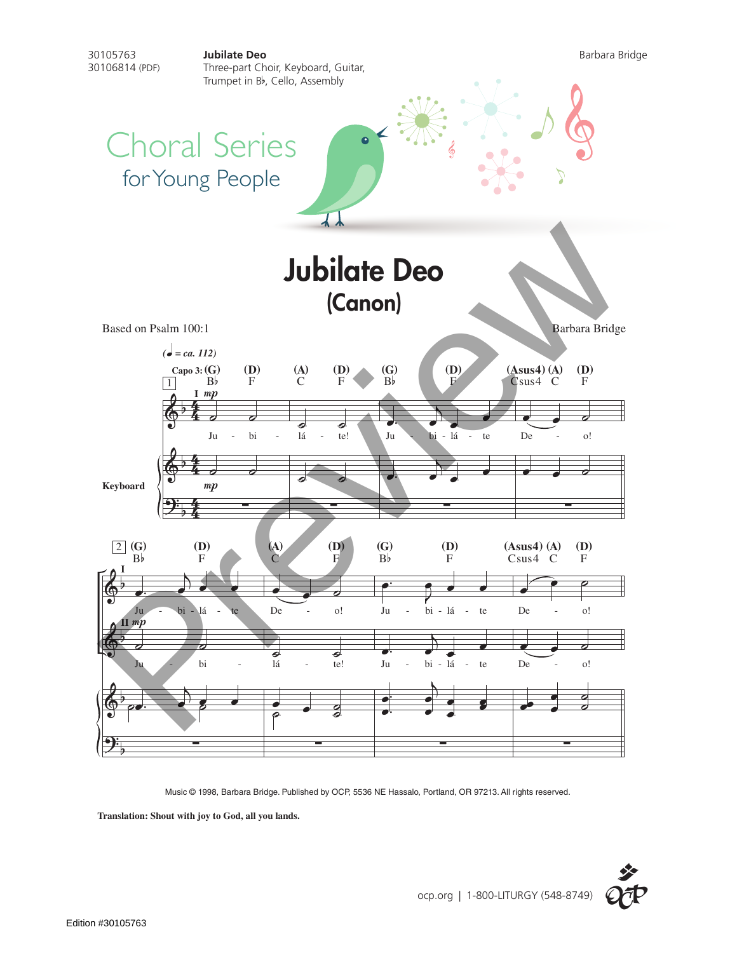

Music © 1998, Barbara Bridge. Published by OCP, 5536 NE Hassalo, Portland, OR 97213. All rights reserved.

**Translation: Shout with joy to God, all you lands.**

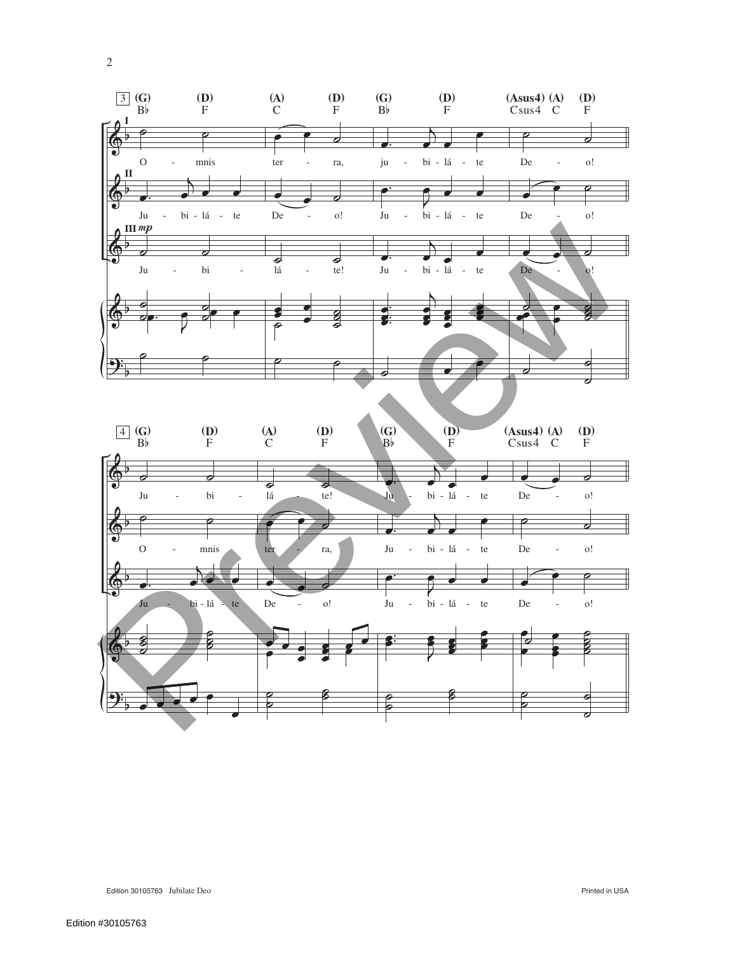

2

Edition 30105763 Jubilate Deo Printed in USA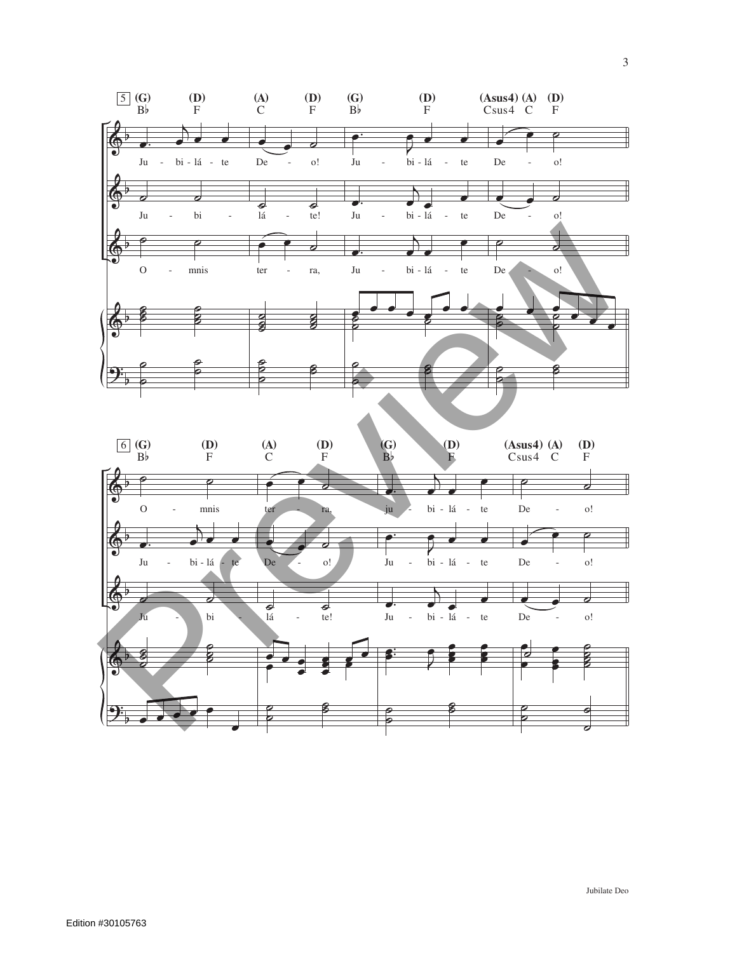



3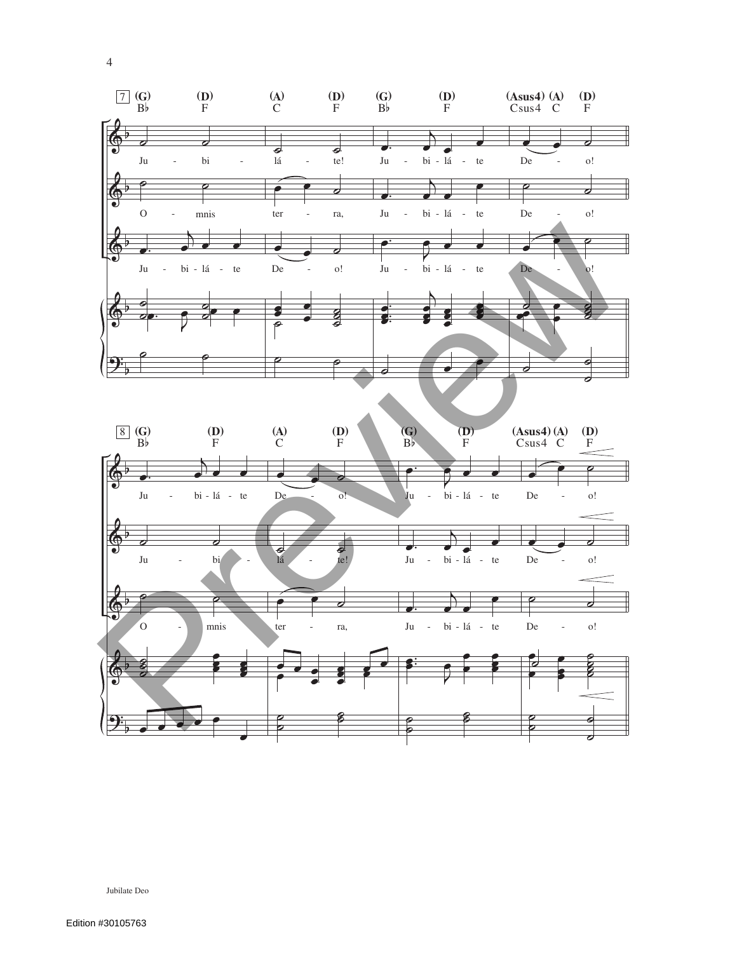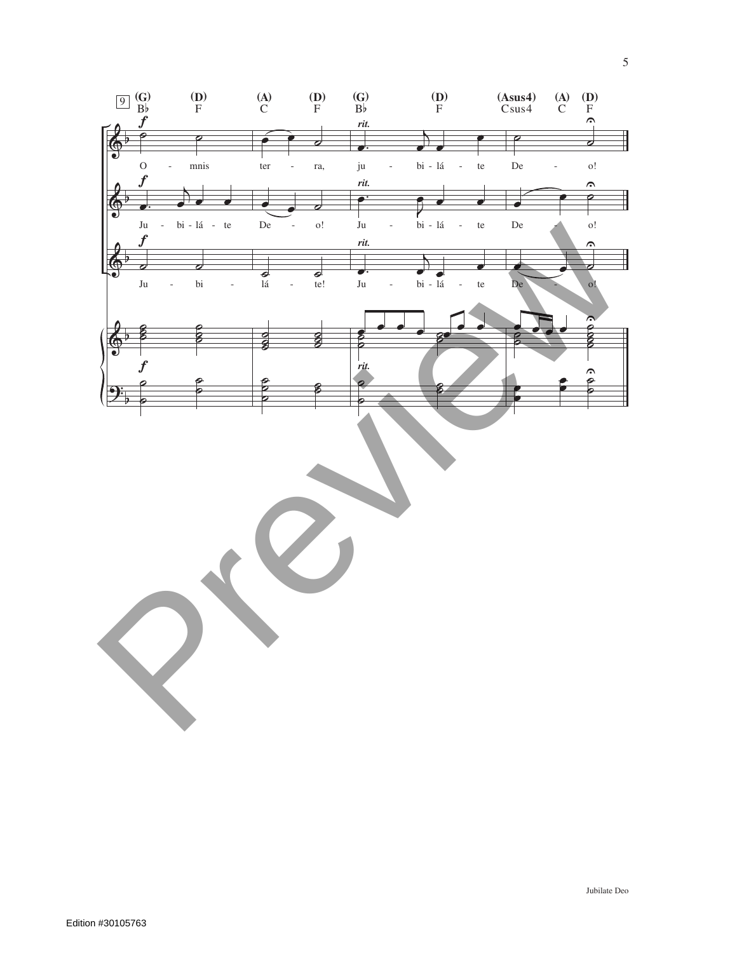

5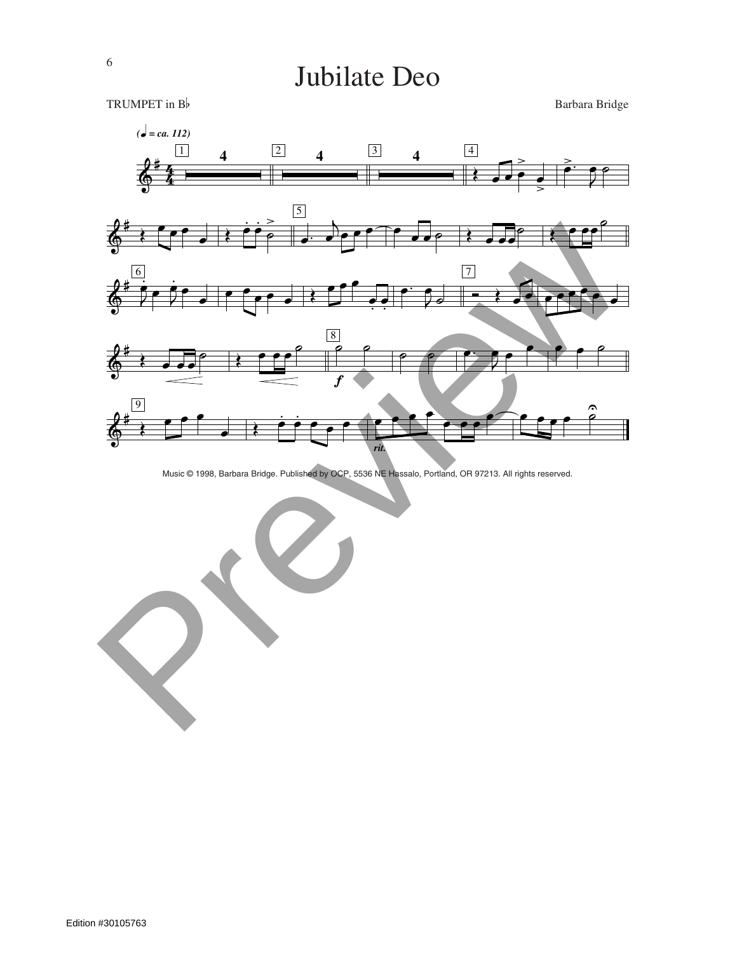

Music © 1998, Barbara Bridge. Published by OCP, 5536 NE Hassalo, Portland, OR 97213. All rights reserved.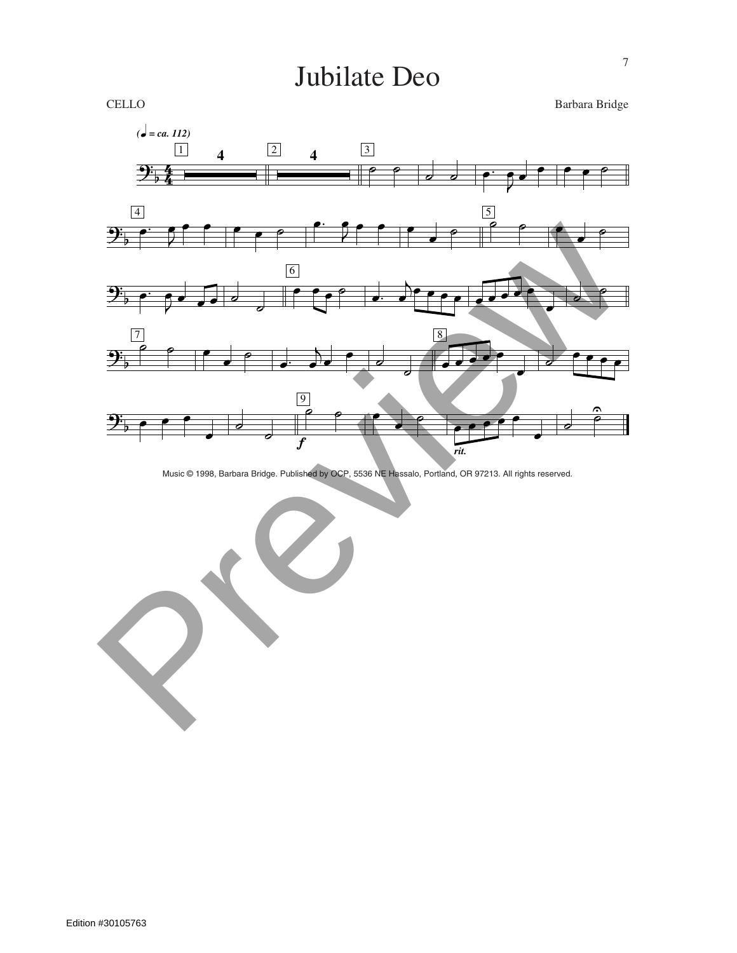CELLO Barbara Bridge



Music © 1998, Barbara Bridge. Published by OCP, 5536 NE Hassalo, Portland, OR 97213. All rights reserved.